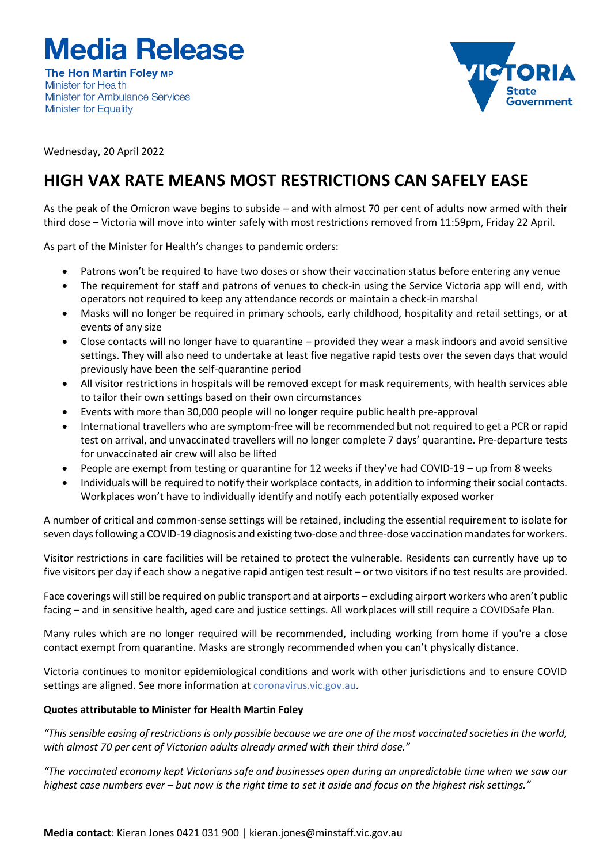**Media Release** 

**The Hon Martin Foley MP Minister for Health** Minister for Ambulance Services **Minister for Equality** 



Wednesday, 20 April 2022

## **HIGH VAX RATE MEANS MOST RESTRICTIONS CAN SAFELY EASE**

As the peak of the Omicron wave begins to subside – and with almost 70 per cent of adults now armed with their third dose – Victoria will move into winter safely with most restrictions removed from 11:59pm, Friday 22 April.

As part of the Minister for Health's changes to pandemic orders:

- Patrons won't be required to have two doses or show their vaccination status before entering any venue
- The requirement for staff and patrons of venues to check-in using the Service Victoria app will end, with operators not required to keep any attendance records or maintain a check-in marshal
- Masks will no longer be required in primary schools, early childhood, hospitality and retail settings, or at events of any size
- Close contacts will no longer have to quarantine provided they wear a mask indoors and avoid sensitive settings. They will also need to undertake at least five negative rapid tests over the seven days that would previously have been the self-quarantine period
- All visitor restrictions in hospitals will be removed except for mask requirements, with health services able to tailor their own settings based on their own circumstances
- Events with more than 30,000 people will no longer require public health pre-approval
- International travellers who are symptom-free will be recommended but not required to get a PCR or rapid test on arrival, and unvaccinated travellers will no longer complete 7 days' quarantine. Pre-departure tests for unvaccinated air crew will also be lifted
- People are exempt from testing or quarantine for 12 weeks if they've had COVID-19 up from 8 weeks
- Individuals will be required to notify their workplace contacts, in addition to informing their social contacts. Workplaces won't have to individually identify and notify each potentially exposed worker

A number of critical and common-sense settings will be retained, including the essential requirement to isolate for seven days following a COVID-19 diagnosis and existing two-dose and three-dose vaccination mandates for workers.

Visitor restrictions in care facilities will be retained to protect the vulnerable. Residents can currently have up to five visitors per day if each show a negative rapid antigen test result – or two visitors if no test results are provided.

Face coverings will still be required on public transport and at airports – excluding airport workers who aren't public facing – and in sensitive health, aged care and justice settings. All workplaces will still require a COVIDSafe Plan.

Many rules which are no longer required will be recommended, including working from home if you're a close contact exempt from quarantine. Masks are strongly recommended when you can't physically distance.

Victoria continues to monitor epidemiological conditions and work with other jurisdictions and to ensure COVID settings are aligned. See more information at coronavirus.vic.gov.au.

## **Quotes attributable to Minister for Health Martin Foley**

*"This sensible easing of restrictions is only possible because we are one of the most vaccinated societies in the world, with almost 70 per cent of Victorian adults already armed with their third dose."*

*"The vaccinated economy kept Victorians safe and businesses open during an unpredictable time when we saw our highest case numbers ever – but now is the right time to set it aside and focus on the highest risk settings."*